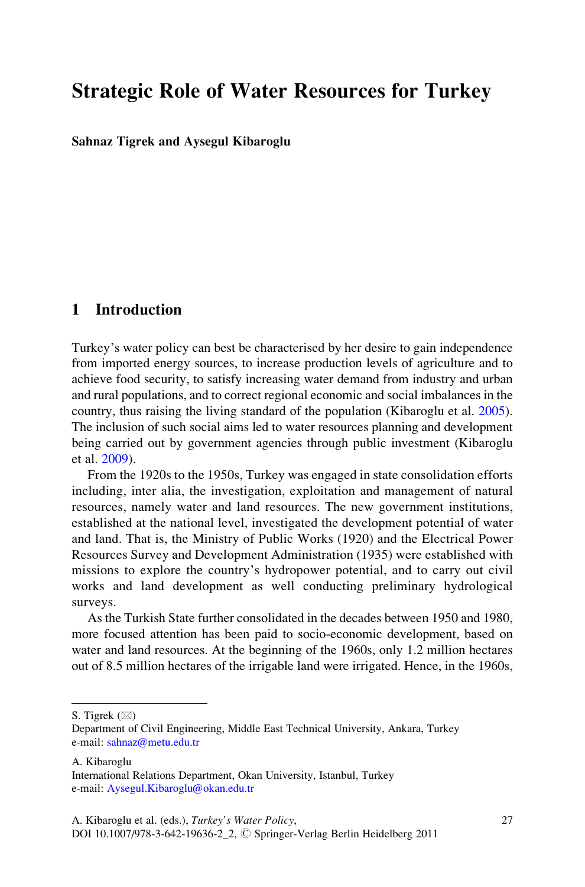# Strategic Role of Water Resources for Turkey

Sahnaz Tigrek and Aysegul Kibaroglu

# 1 Introduction

Turkey's water policy can best be characterised by her desire to gain independence from imported energy sources, to increase production levels of agriculture and to achieve food security, to satisfy increasing water demand from industry and urban and rural populations, and to correct regional economic and social imbalances in the country, thus raising the living standard of the population (Kibaroglu et al. [2005\)](#page-15-0). The inclusion of such social aims led to water resources planning and development being carried out by government agencies through public investment (Kibaroglu et al. [2009](#page-14-0)).

From the 1920s to the 1950s, Turkey was engaged in state consolidation efforts including, inter alia, the investigation, exploitation and management of natural resources, namely water and land resources. The new government institutions, established at the national level, investigated the development potential of water and land. That is, the Ministry of Public Works (1920) and the Electrical Power Resources Survey and Development Administration (1935) were established with missions to explore the country's hydropower potential, and to carry out civil works and land development as well conducting preliminary hydrological surveys.

As the Turkish State further consolidated in the decades between 1950 and 1980, more focused attention has been paid to socio-economic development, based on water and land resources. At the beginning of the 1960s, only 1.2 million hectares out of 8.5 million hectares of the irrigable land were irrigated. Hence, in the 1960s,

S. Tigrek  $(\boxtimes)$ 

A. Kibaroglu

Department of Civil Engineering, Middle East Technical University, Ankara, Turkey e-mail: [sahnaz@metu.edu.tr](mailto:sahnaz@metu.edu.tr)

International Relations Department, Okan University, Istanbul, Turkey e-mail: [Aysegul.Kibaroglu@okan.edu.tr](mailto:Aysegul.Kibaroglu@okan.edu.tr)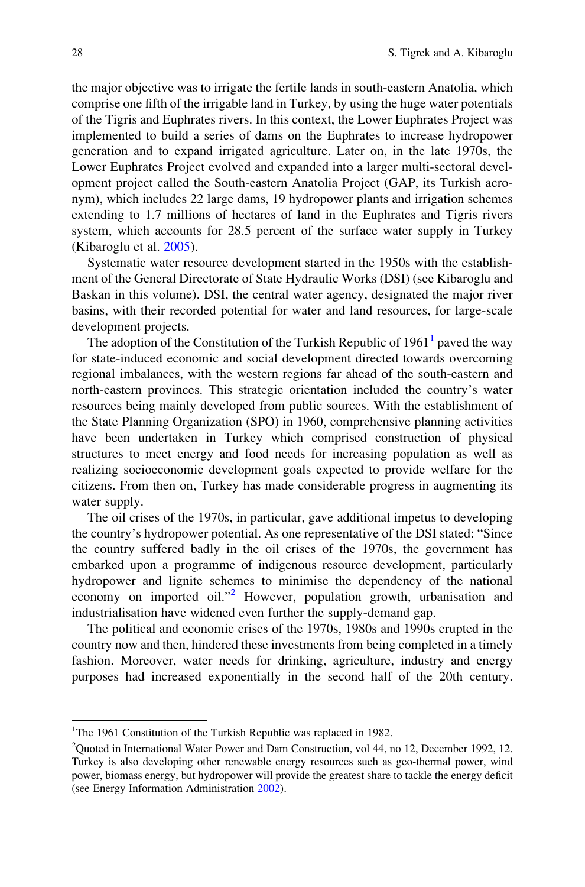the major objective was to irrigate the fertile lands in south-eastern Anatolia, which comprise one fifth of the irrigable land in Turkey, by using the huge water potentials of the Tigris and Euphrates rivers. In this context, the Lower Euphrates Project was implemented to build a series of dams on the Euphrates to increase hydropower generation and to expand irrigated agriculture. Later on, in the late 1970s, the Lower Euphrates Project evolved and expanded into a larger multi-sectoral development project called the South-eastern Anatolia Project (GAP, its Turkish acronym), which includes 22 large dams, 19 hydropower plants and irrigation schemes extending to 1.7 millions of hectares of land in the Euphrates and Tigris rivers system, which accounts for 28.5 percent of the surface water supply in Turkey (Kibaroglu et al. [2005](#page-15-0)).

Systematic water resource development started in the 1950s with the establishment of the General Directorate of State Hydraulic Works (DSI) (see Kibaroglu and Baskan in this volume). DSI, the central water agency, designated the major river basins, with their recorded potential for water and land resources, for large-scale development projects.

The adoption of the Constitution of the Turkish Republic of  $1961<sup>1</sup>$  paved the way for state-induced economic and social development directed towards overcoming regional imbalances, with the western regions far ahead of the south-eastern and north-eastern provinces. This strategic orientation included the country's water resources being mainly developed from public sources. With the establishment of the State Planning Organization (SPO) in 1960, comprehensive planning activities have been undertaken in Turkey which comprised construction of physical structures to meet energy and food needs for increasing population as well as realizing socioeconomic development goals expected to provide welfare for the citizens. From then on, Turkey has made considerable progress in augmenting its water supply.

The oil crises of the 1970s, in particular, gave additional impetus to developing the country's hydropower potential. As one representative of the DSI stated: "Since the country suffered badly in the oil crises of the 1970s, the government has embarked upon a programme of indigenous resource development, particularly hydropower and lignite schemes to minimise the dependency of the national economy on imported oil."<sup>2</sup> However, population growth, urbanisation and industrialisation have widened even further the supply-demand gap.

The political and economic crises of the 1970s, 1980s and 1990s erupted in the country now and then, hindered these investments from being completed in a timely fashion. Moreover, water needs for drinking, agriculture, industry and energy purposes had increased exponentially in the second half of the 20th century.

<sup>&</sup>lt;sup>1</sup>The 1961 Constitution of the Turkish Republic was replaced in 1982.

<sup>&</sup>lt;sup>2</sup>Quoted in International Water Power and Dam Construction, vol 44, no 12, December 1992, 12. Turkey is also developing other renewable energy resources such as geo-thermal power, wind power, biomass energy, but hydropower will provide the greatest share to tackle the energy deficit (see Energy Information Administration [2002\)](#page-14-0).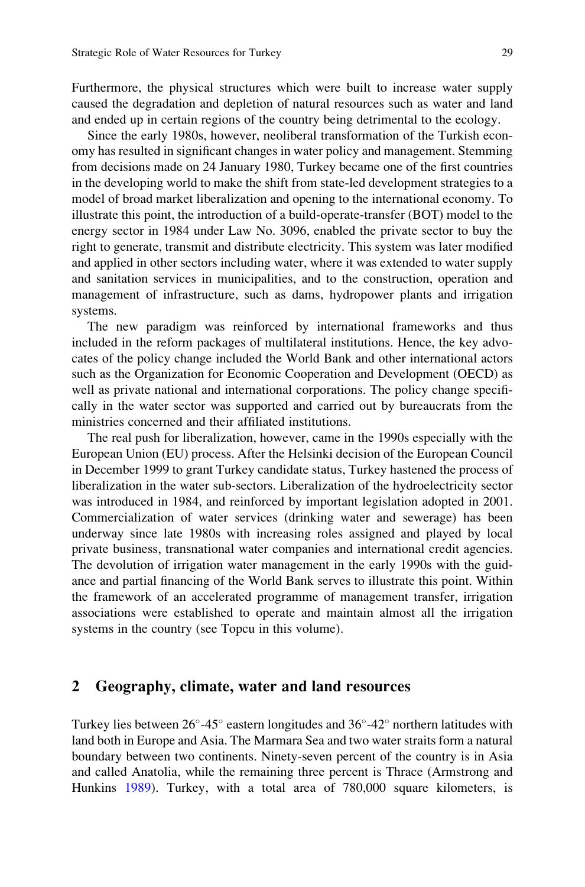Furthermore, the physical structures which were built to increase water supply caused the degradation and depletion of natural resources such as water and land and ended up in certain regions of the country being detrimental to the ecology.

Since the early 1980s, however, neoliberal transformation of the Turkish economy has resulted in significant changes in water policy and management. Stemming from decisions made on 24 January 1980, Turkey became one of the first countries in the developing world to make the shift from state-led development strategies to a model of broad market liberalization and opening to the international economy. To illustrate this point, the introduction of a build-operate-transfer (BOT) model to the energy sector in 1984 under Law No. 3096, enabled the private sector to buy the right to generate, transmit and distribute electricity. This system was later modified and applied in other sectors including water, where it was extended to water supply and sanitation services in municipalities, and to the construction, operation and management of infrastructure, such as dams, hydropower plants and irrigation systems.

The new paradigm was reinforced by international frameworks and thus included in the reform packages of multilateral institutions. Hence, the key advocates of the policy change included the World Bank and other international actors such as the Organization for Economic Cooperation and Development (OECD) as well as private national and international corporations. The policy change specifically in the water sector was supported and carried out by bureaucrats from the ministries concerned and their affiliated institutions.

The real push for liberalization, however, came in the 1990s especially with the European Union (EU) process. After the Helsinki decision of the European Council in December 1999 to grant Turkey candidate status, Turkey hastened the process of liberalization in the water sub-sectors. Liberalization of the hydroelectricity sector was introduced in 1984, and reinforced by important legislation adopted in 2001. Commercialization of water services (drinking water and sewerage) has been underway since late 1980s with increasing roles assigned and played by local private business, transnational water companies and international credit agencies. The devolution of irrigation water management in the early 1990s with the guidance and partial financing of the World Bank serves to illustrate this point. Within the framework of an accelerated programme of management transfer, irrigation associations were established to operate and maintain almost all the irrigation systems in the country (see Topcu in this volume).

#### 2 Geography, climate, water and land resources

Turkey lies between  $26^{\circ}$ -45° eastern longitudes and  $36^{\circ}$ -42° northern latitudes with land both in Europe and Asia. The Marmara Sea and two water straits form a natural boundary between two continents. Ninety-seven percent of the country is in Asia and called Anatolia, while the remaining three percent is Thrace (Armstrong and Hunkins [1989\)](#page-14-0). Turkey, with a total area of 780,000 square kilometers, is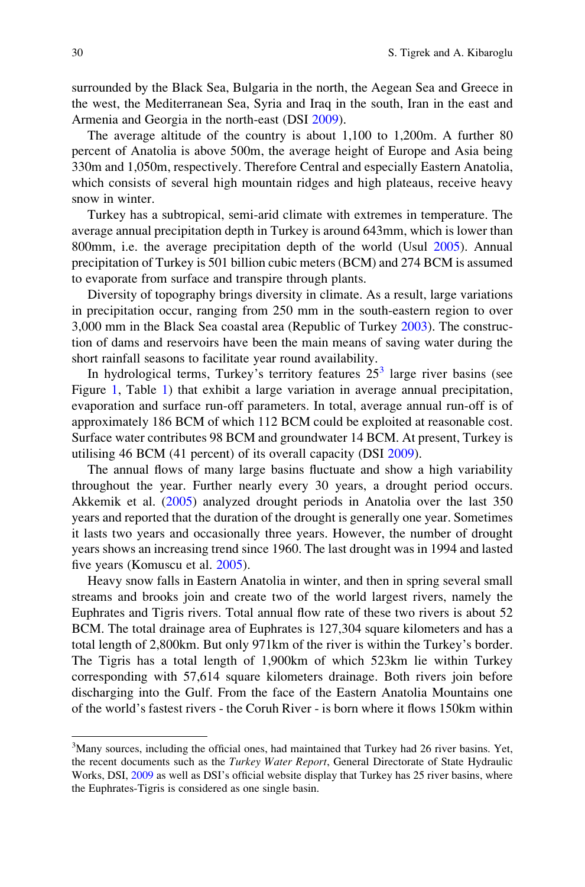surrounded by the Black Sea, Bulgaria in the north, the Aegean Sea and Greece in the west, the Mediterranean Sea, Syria and Iraq in the south, Iran in the east and Armenia and Georgia in the north-east (DSI [2009](#page-14-0)).

The average altitude of the country is about 1,100 to 1,200m. A further 80 percent of Anatolia is above 500m, the average height of Europe and Asia being 330m and 1,050m, respectively. Therefore Central and especially Eastern Anatolia, which consists of several high mountain ridges and high plateaus, receive heavy snow in winter.

Turkey has a subtropical, semi-arid climate with extremes in temperature. The average annual precipitation depth in Turkey is around 643mm, which is lower than 800mm, i.e. the average precipitation depth of the world (Usul [2005\)](#page-15-0). Annual precipitation of Turkey is 501 billion cubic meters (BCM) and 274 BCM is assumed to evaporate from surface and transpire through plants.

Diversity of topography brings diversity in climate. As a result, large variations in precipitation occur, ranging from 250 mm in the south-eastern region to over 3,000 mm in the Black Sea coastal area (Republic of Turkey [2003](#page-15-0)). The construction of dams and reservoirs have been the main means of saving water during the short rainfall seasons to facilitate year round availability.

In hydrological terms, Turkey's territory features  $25<sup>3</sup>$  large river basins (see Figure [1,](#page-4-0) Table [1](#page-4-0)) that exhibit a large variation in average annual precipitation, evaporation and surface run-off parameters. In total, average annual run-off is of approximately 186 BCM of which 112 BCM could be exploited at reasonable cost. Surface water contributes 98 BCM and groundwater 14 BCM. At present, Turkey is utilising 46 BCM (41 percent) of its overall capacity (DSI [2009](#page-14-0)).

The annual flows of many large basins fluctuate and show a high variability throughout the year. Further nearly every 30 years, a drought period occurs. Akkemik et al. ([2005\)](#page-14-0) analyzed drought periods in Anatolia over the last 350 years and reported that the duration of the drought is generally one year. Sometimes it lasts two years and occasionally three years. However, the number of drought years shows an increasing trend since 1960. The last drought was in 1994 and lasted five years (Komuscu et al. [2005](#page-15-0)).

Heavy snow falls in Eastern Anatolia in winter, and then in spring several small streams and brooks join and create two of the world largest rivers, namely the Euphrates and Tigris rivers. Total annual flow rate of these two rivers is about 52 BCM. The total drainage area of Euphrates is 127,304 square kilometers and has a total length of 2,800km. But only 971km of the river is within the Turkey's border. The Tigris has a total length of 1,900km of which 523km lie within Turkey corresponding with 57,614 square kilometers drainage. Both rivers join before discharging into the Gulf. From the face of the Eastern Anatolia Mountains one of the world's fastest rivers - the Coruh River - is born where it flows 150km within

<sup>&</sup>lt;sup>3</sup>Many sources, including the official ones, had maintained that Turkey had 26 river basins. Yet, the recent documents such as the *Turkey Water Report*, General Directorate of State Hydraulic Works, DSI, [2009](#page-14-0) as well as DSI's official website display that Turkey has 25 river basins, where the Euphrates-Tigris is considered as one single basin.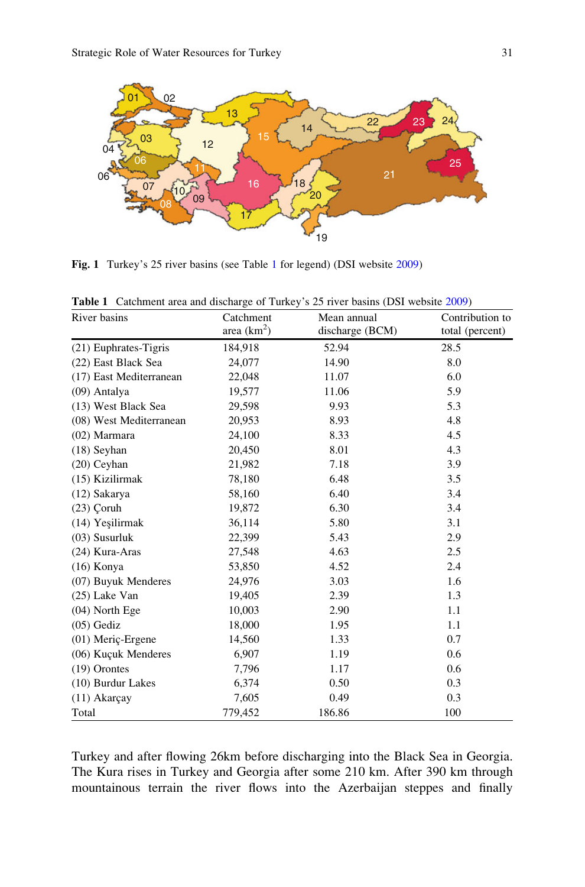<span id="page-4-0"></span>

Fig. 1 Turkey's 25 river basins (see Table 1 for legend) (DSI website [2009\)](#page-14-0)

| River basins            | Catchment<br>area $(km^2)$ | Mean annual<br>discharge (BCM) | Contribution to<br>total (percent) |
|-------------------------|----------------------------|--------------------------------|------------------------------------|
| $(21)$ Euphrates-Tigris | 184,918                    | 52.94                          | 28.5                               |
| (22) East Black Sea     | 24,077                     | 14.90                          | 8.0                                |
| (17) East Mediterranean | 22,048                     | 11.07                          | 6.0                                |
| (09) Antalya            | 19,577                     | 11.06                          | 5.9                                |
| (13) West Black Sea     | 29,598                     | 9.93                           | 5.3                                |
| (08) West Mediterranean | 20,953                     | 8.93                           | 4.8                                |
| $(02)$ Marmara          | 24,100                     | 8.33                           | 4.5                                |
| $(18)$ Seyhan           | 20,450                     | 8.01                           | 4.3                                |
| $(20)$ Ceyhan           | 21,982                     | 7.18                           | 3.9                                |
| (15) Kizilirmak         | 78,180                     | 6.48                           | 3.5                                |
| (12) Sakarya            | 58,160                     | 6.40                           | 3.4                                |
| $(23)$ Coruh            | 19,872                     | 6.30                           | 3.4                                |
| (14) Yeşilirmak         | 36,114                     | 5.80                           | 3.1                                |
| $(03)$ Susurluk         | 22,399                     | 5.43                           | 2.9                                |
| (24) Kura-Aras          | 27,548                     | 4.63                           | 2.5                                |
| $(16)$ Konya            | 53,850                     | 4.52                           | 2.4                                |
| (07) Buyuk Menderes     | 24,976                     | 3.03                           | 1.6                                |
| $(25)$ Lake Van         | 19,405                     | 2.39                           | 1.3                                |
| $(04)$ North Ege        | 10,003                     | 2.90                           | 1.1                                |
| $(05)$ Gediz            | 18,000                     | 1.95                           | 1.1                                |
| (01) Meriç-Ergene       | 14,560                     | 1.33                           | 0.7                                |
| (06) Kuçuk Menderes     | 6,907                      | 1.19                           | 0.6                                |
| $(19)$ Orontes          | 7,796                      | 1.17                           | 0.6                                |
| (10) Burdur Lakes       | 6,374                      | 0.50                           | 0.3                                |
| $(11)$ Akarcay          | 7,605                      | 0.49                           | 0.3                                |
| Total                   | 779,452                    | 186.86                         | 100                                |

Table 1 Catchment area and discharge of Turkey's 25 river basins (DSI website [2009\)](#page-14-0)

Turkey and after flowing 26km before discharging into the Black Sea in Georgia. The Kura rises in Turkey and Georgia after some 210 km. After 390 km through mountainous terrain the river flows into the Azerbaijan steppes and finally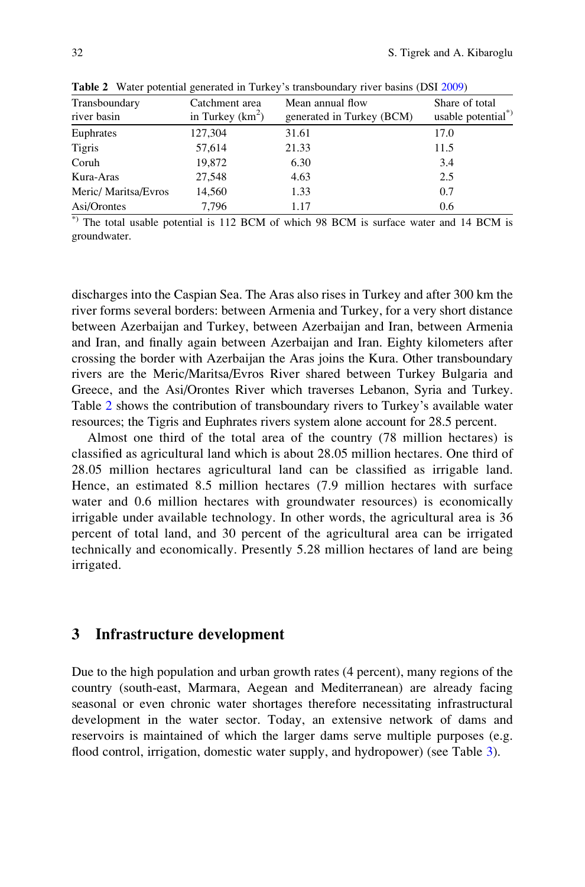| Transboundary<br>river basin | Catchment area<br>in Turkey $(km^2)$ | Mean annual flow<br>generated in Turkey (BCM) | Share of total<br>usable potential*) |
|------------------------------|--------------------------------------|-----------------------------------------------|--------------------------------------|
| Euphrates                    | 127,304                              | 31.61                                         | 17.0                                 |
| <b>Tigris</b>                | 57,614                               | 21.33                                         | 11.5                                 |
| Coruh                        | 19,872                               | 6.30                                          | 3.4                                  |
| Kura-Aras                    | 27,548                               | 4.63                                          | 2.5                                  |
| Meric/Maritsa/Evros          | 14.560                               | 1.33                                          | 0.7                                  |
| Asi/Orontes                  | 7.796                                | 1.17                                          | 0.6                                  |
|                              |                                      |                                               |                                      |

Table 2 Water potential generated in Turkey's transboundary river basins (DSI [2009\)](#page-14-0)

\*) The total usable potential is 112 BCM of which 98 BCM is surface water and 14 BCM is groundwater.

discharges into the Caspian Sea. The Aras also rises in Turkey and after 300 km the river forms several borders: between Armenia and Turkey, for a very short distance between Azerbaijan and Turkey, between Azerbaijan and Iran, between Armenia and Iran, and finally again between Azerbaijan and Iran. Eighty kilometers after crossing the border with Azerbaijan the Aras joins the Kura. Other transboundary rivers are the Meric/Maritsa/Evros River shared between Turkey Bulgaria and Greece, and the Asi/Orontes River which traverses Lebanon, Syria and Turkey. Table 2 shows the contribution of transboundary rivers to Turkey's available water resources; the Tigris and Euphrates rivers system alone account for 28.5 percent.

Almost one third of the total area of the country (78 million hectares) is classified as agricultural land which is about 28.05 million hectares. One third of 28.05 million hectares agricultural land can be classified as irrigable land. Hence, an estimated 8.5 million hectares (7.9 million hectares with surface water and 0.6 million hectares with groundwater resources) is economically irrigable under available technology. In other words, the agricultural area is 36 percent of total land, and 30 percent of the agricultural area can be irrigated technically and economically. Presently 5.28 million hectares of land are being irrigated.

#### 3 Infrastructure development

Due to the high population and urban growth rates (4 percent), many regions of the country (south-east, Marmara, Aegean and Mediterranean) are already facing seasonal or even chronic water shortages therefore necessitating infrastructural development in the water sector. Today, an extensive network of dams and reservoirs is maintained of which the larger dams serve multiple purposes (e.g. flood control, irrigation, domestic water supply, and hydropower) (see Table [3](#page-6-0)).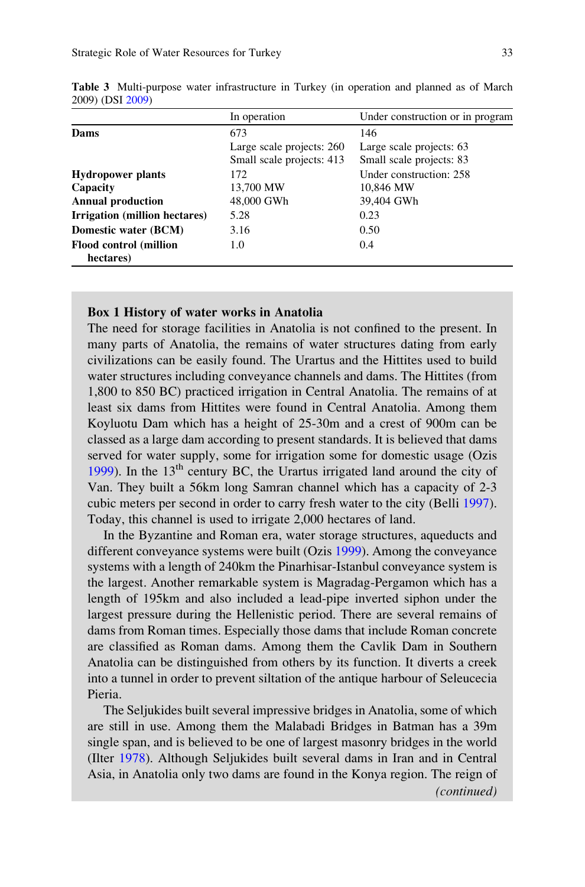|                                | In operation              | Under construction or in program |
|--------------------------------|---------------------------|----------------------------------|
| Dams                           | 673                       | 146                              |
|                                | Large scale projects: 260 | Large scale projects: 63         |
|                                | Small scale projects: 413 | Small scale projects: 83         |
| <b>Hydropower plants</b>       | 172                       | Under construction: 258          |
| Capacity                       | 13,700 MW                 | 10,846 MW                        |
| <b>Annual production</b>       | 48,000 GWh                | 39,404 GWh                       |
| Irrigation (million hectares)  | 5.28                      | 0.23                             |
| Domestic water (BCM)           | 3.16                      | 0.50                             |
| <b>Flood control (million)</b> | 1.0                       | 0.4                              |
| hectares)                      |                           |                                  |

<span id="page-6-0"></span>Table 3 Multi-purpose water infrastructure in Turkey (in operation and planned as of March 2009) (DSI [2009\)](#page-14-0)

#### Box 1 History of water works in Anatolia

The need for storage facilities in Anatolia is not confined to the present. In many parts of Anatolia, the remains of water structures dating from early civilizations can be easily found. The Urartus and the Hittites used to build water structures including conveyance channels and dams. The Hittites (from 1,800 to 850 BC) practiced irrigation in Central Anatolia. The remains of at least six dams from Hittites were found in Central Anatolia. Among them Koyluotu Dam which has a height of 25-30m and a crest of 900m can be classed as a large dam according to present standards. It is believed that dams served for water supply, some for irrigation some for domestic usage (Ozis [1999\)](#page-15-0). In the  $13<sup>th</sup>$  century BC, the Urartus irrigated land around the city of Van. They built a 56km long Samran channel which has a capacity of 2-3 cubic meters per second in order to carry fresh water to the city (Belli [1997\)](#page-14-0). Today, this channel is used to irrigate 2,000 hectares of land.

In the Byzantine and Roman era, water storage structures, aqueducts and different conveyance systems were built (Ozis [1999\)](#page-15-0). Among the conveyance systems with a length of 240km the Pinarhisar-Istanbul conveyance system is the largest. Another remarkable system is Magradag-Pergamon which has a length of 195km and also included a lead-pipe inverted siphon under the largest pressure during the Hellenistic period. There are several remains of dams from Roman times. Especially those dams that include Roman concrete are classified as Roman dams. Among them the Cavlik Dam in Southern Anatolia can be distinguished from others by its function. It diverts a creek into a tunnel in order to prevent siltation of the antique harbour of Seleucecia Pieria.

The Seljukides built several impressive bridges in Anatolia, some of which are still in use. Among them the Malabadi Bridges in Batman has a 39m single span, and is believed to be one of largest masonry bridges in the world (Ilter [1978](#page-14-0)). Although Seljukides built several dams in Iran and in Central Asia, in Anatolia only two dams are found in the Konya region. The reign of (continued)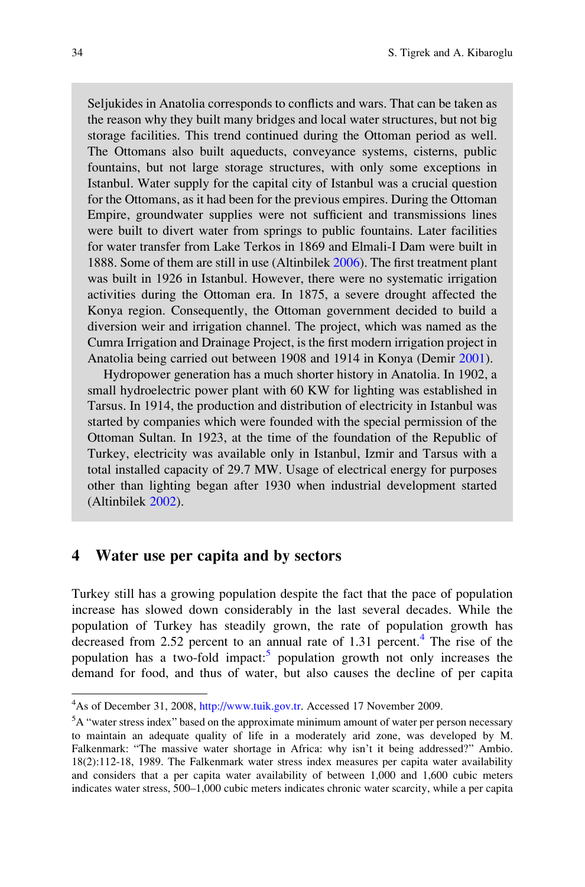Seljukides in Anatolia corresponds to conflicts and wars. That can be taken as the reason why they built many bridges and local water structures, but not big storage facilities. This trend continued during the Ottoman period as well. The Ottomans also built aqueducts, conveyance systems, cisterns, public fountains, but not large storage structures, with only some exceptions in Istanbul. Water supply for the capital city of Istanbul was a crucial question for the Ottomans, as it had been for the previous empires. During the Ottoman Empire, groundwater supplies were not sufficient and transmissions lines were built to divert water from springs to public fountains. Later facilities for water transfer from Lake Terkos in 1869 and Elmali-I Dam were built in 1888. Some of them are still in use (Altinbilek [2006](#page-14-0)). The first treatment plant was built in 1926 in Istanbul. However, there were no systematic irrigation activities during the Ottoman era. In 1875, a severe drought affected the Konya region. Consequently, the Ottoman government decided to build a diversion weir and irrigation channel. The project, which was named as the Cumra Irrigation and Drainage Project, is the first modern irrigation project in Anatolia being carried out between 1908 and 1914 in Konya (Demir [2001\)](#page-14-0).

Hydropower generation has a much shorter history in Anatolia. In 1902, a small hydroelectric power plant with 60 KW for lighting was established in Tarsus. In 1914, the production and distribution of electricity in Istanbul was started by companies which were founded with the special permission of the Ottoman Sultan. In 1923, at the time of the foundation of the Republic of Turkey, electricity was available only in Istanbul, Izmir and Tarsus with a total installed capacity of 29.7 MW. Usage of electrical energy for purposes other than lighting began after 1930 when industrial development started (Altinbilek [2002](#page-14-0)).

# 4 Water use per capita and by sectors

Turkey still has a growing population despite the fact that the pace of population increase has slowed down considerably in the last several decades. While the population of Turkey has steadily grown, the rate of population growth has decreased from 2.52 percent to an annual rate of 1.31 percent.<sup>4</sup> The rise of the population has a two-fold impact:<sup>5</sup> population growth not only increases the demand for food, and thus of water, but also causes the decline of per capita

<sup>&</sup>lt;sup>4</sup>As of December 31, 2008, <http://www.tuik.gov.tr>. Accessed 17 November 2009.

<sup>&</sup>lt;sup>5</sup>A "water stress index" based on the approximate minimum amount of water per person necessary to maintain an adequate quality of life in a moderately arid zone, was developed by M. Falkenmark: "The massive water shortage in Africa: why isn't it being addressed?" Ambio. 18(2):112-18, 1989. The Falkenmark water stress index measures per capita water availability and considers that a per capita water availability of between 1,000 and 1,600 cubic meters indicates water stress, 500–1,000 cubic meters indicates chronic water scarcity, while a per capita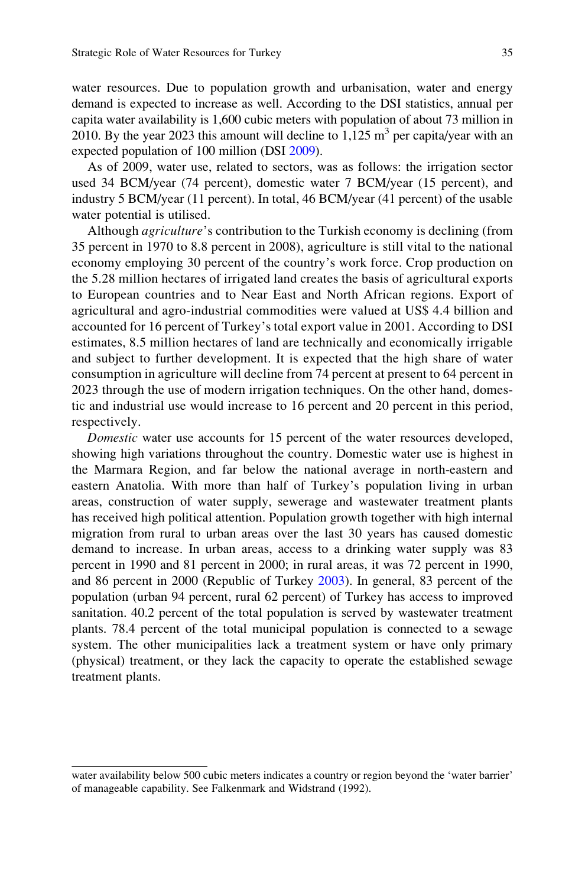water resources. Due to population growth and urbanisation, water and energy demand is expected to increase as well. According to the DSI statistics, annual per capita water availability is 1,600 cubic meters with population of about 73 million in 2010. By the year 2023 this amount will decline to  $1.125 \text{ m}^3$  per capita/year with an expected population of 100 million (DSI [2009\)](#page-14-0).

As of 2009, water use, related to sectors, was as follows: the irrigation sector used 34 BCM/year (74 percent), domestic water 7 BCM/year (15 percent), and industry 5 BCM/year (11 percent). In total, 46 BCM/year (41 percent) of the usable water potential is utilised.

Although *agriculture's* contribution to the Turkish economy is declining (from 35 percent in 1970 to 8.8 percent in 2008), agriculture is still vital to the national economy employing 30 percent of the country's work force. Crop production on the 5.28 million hectares of irrigated land creates the basis of agricultural exports to European countries and to Near East and North African regions. Export of agricultural and agro-industrial commodities were valued at US\$ 4.4 billion and accounted for 16 percent of Turkey's total export value in 2001. According to DSI estimates, 8.5 million hectares of land are technically and economically irrigable and subject to further development. It is expected that the high share of water consumption in agriculture will decline from 74 percent at present to 64 percent in 2023 through the use of modern irrigation techniques. On the other hand, domestic and industrial use would increase to 16 percent and 20 percent in this period, respectively.

Domestic water use accounts for 15 percent of the water resources developed, showing high variations throughout the country. Domestic water use is highest in the Marmara Region, and far below the national average in north-eastern and eastern Anatolia. With more than half of Turkey's population living in urban areas, construction of water supply, sewerage and wastewater treatment plants has received high political attention. Population growth together with high internal migration from rural to urban areas over the last 30 years has caused domestic demand to increase. In urban areas, access to a drinking water supply was 83 percent in 1990 and 81 percent in 2000; in rural areas, it was 72 percent in 1990, and 86 percent in 2000 (Republic of Turkey [2003](#page-15-0)). In general, 83 percent of the population (urban 94 percent, rural 62 percent) of Turkey has access to improved sanitation. 40.2 percent of the total population is served by wastewater treatment plants. 78.4 percent of the total municipal population is connected to a sewage system. The other municipalities lack a treatment system or have only primary (physical) treatment, or they lack the capacity to operate the established sewage treatment plants.

water availability below 500 cubic meters indicates a country or region beyond the 'water barrier' of manageable capability. See Falkenmark and Widstrand (1992).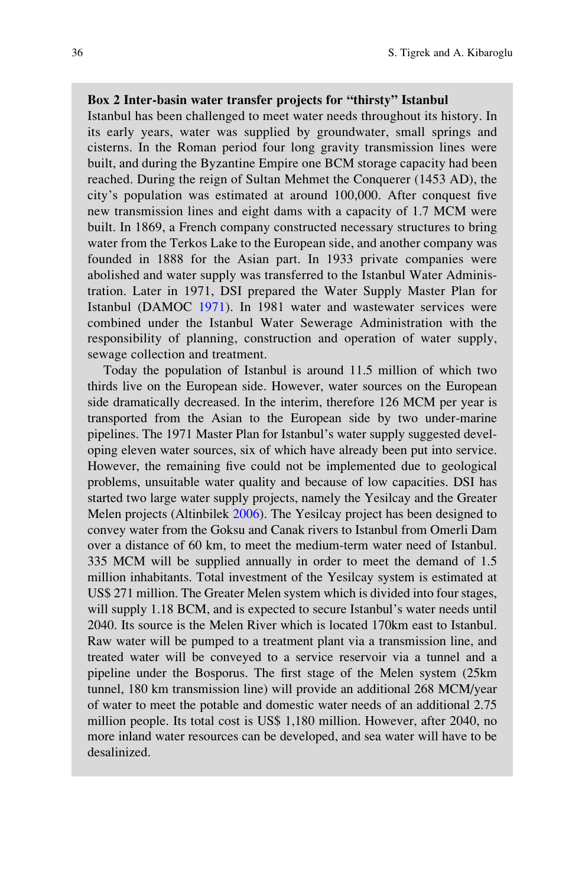#### Box 2 Inter-basin water transfer projects for "thirsty" Istanbul

Istanbul has been challenged to meet water needs throughout its history. In its early years, water was supplied by groundwater, small springs and cisterns. In the Roman period four long gravity transmission lines were built, and during the Byzantine Empire one BCM storage capacity had been reached. During the reign of Sultan Mehmet the Conquerer (1453 AD), the city's population was estimated at around 100,000. After conquest five new transmission lines and eight dams with a capacity of 1.7 MCM were built. In 1869, a French company constructed necessary structures to bring water from the Terkos Lake to the European side, and another company was founded in 1888 for the Asian part. In 1933 private companies were abolished and water supply was transferred to the Istanbul Water Administration. Later in 1971, DSI prepared the Water Supply Master Plan for Istanbul (DAMOC [1971\)](#page-14-0). In 1981 water and wastewater services were combined under the Istanbul Water Sewerage Administration with the responsibility of planning, construction and operation of water supply, sewage collection and treatment.

Today the population of Istanbul is around 11.5 million of which two thirds live on the European side. However, water sources on the European side dramatically decreased. In the interim, therefore 126 MCM per year is transported from the Asian to the European side by two under-marine pipelines. The 1971 Master Plan for Istanbul's water supply suggested developing eleven water sources, six of which have already been put into service. However, the remaining five could not be implemented due to geological problems, unsuitable water quality and because of low capacities. DSI has started two large water supply projects, namely the Yesilcay and the Greater Melen projects (Altinbilek [2006](#page-14-0)). The Yesilcay project has been designed to convey water from the Goksu and Canak rivers to Istanbul from Omerli Dam over a distance of 60 km, to meet the medium-term water need of Istanbul. 335 MCM will be supplied annually in order to meet the demand of 1.5 million inhabitants. Total investment of the Yesilcay system is estimated at US\$ 271 million. The Greater Melen system which is divided into four stages, will supply 1.18 BCM, and is expected to secure Istanbul's water needs until 2040. Its source is the Melen River which is located 170km east to Istanbul. Raw water will be pumped to a treatment plant via a transmission line, and treated water will be conveyed to a service reservoir via a tunnel and a pipeline under the Bosporus. The first stage of the Melen system (25km tunnel, 180 km transmission line) will provide an additional 268 MCM/year of water to meet the potable and domestic water needs of an additional 2.75 million people. Its total cost is US\$ 1,180 million. However, after 2040, no more inland water resources can be developed, and sea water will have to be desalinized.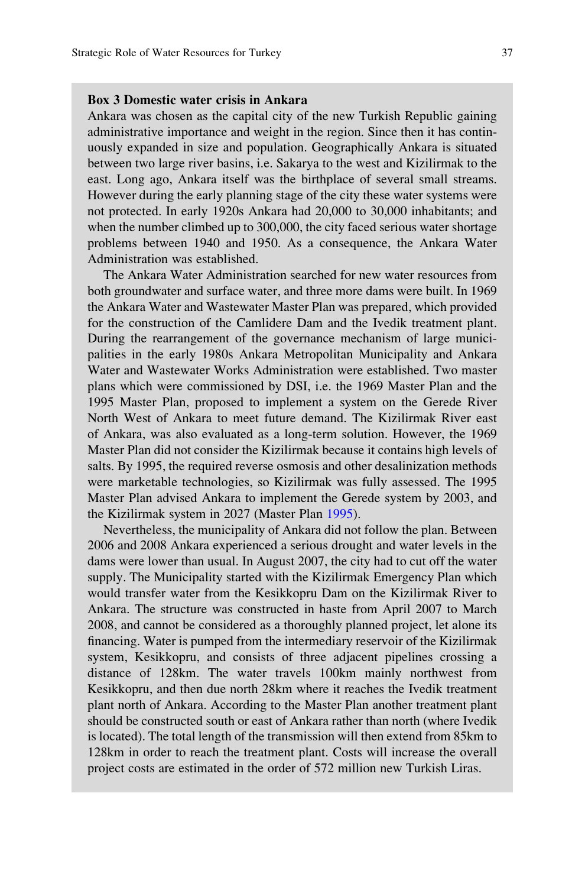#### Box 3 Domestic water crisis in Ankara

Ankara was chosen as the capital city of the new Turkish Republic gaining administrative importance and weight in the region. Since then it has continuously expanded in size and population. Geographically Ankara is situated between two large river basins, i.e. Sakarya to the west and Kizilirmak to the east. Long ago, Ankara itself was the birthplace of several small streams. However during the early planning stage of the city these water systems were not protected. In early 1920s Ankara had 20,000 to 30,000 inhabitants; and when the number climbed up to 300,000, the city faced serious water shortage problems between 1940 and 1950. As a consequence, the Ankara Water Administration was established.

The Ankara Water Administration searched for new water resources from both groundwater and surface water, and three more dams were built. In 1969 the Ankara Water and Wastewater Master Plan was prepared, which provided for the construction of the Camlidere Dam and the Ivedik treatment plant. During the rearrangement of the governance mechanism of large municipalities in the early 1980s Ankara Metropolitan Municipality and Ankara Water and Wastewater Works Administration were established. Two master plans which were commissioned by DSI, i.e. the 1969 Master Plan and the 1995 Master Plan, proposed to implement a system on the Gerede River North West of Ankara to meet future demand. The Kizilirmak River east of Ankara, was also evaluated as a long-term solution. However, the 1969 Master Plan did not consider the Kizilirmak because it contains high levels of salts. By 1995, the required reverse osmosis and other desalinization methods were marketable technologies, so Kizilirmak was fully assessed. The 1995 Master Plan advised Ankara to implement the Gerede system by 2003, and the Kizilirmak system in 2027 (Master Plan [1995](#page-15-0)).

Nevertheless, the municipality of Ankara did not follow the plan. Between 2006 and 2008 Ankara experienced a serious drought and water levels in the dams were lower than usual. In August 2007, the city had to cut off the water supply. The Municipality started with the Kizilirmak Emergency Plan which would transfer water from the Kesikkopru Dam on the Kizilirmak River to Ankara. The structure was constructed in haste from April 2007 to March 2008, and cannot be considered as a thoroughly planned project, let alone its financing. Water is pumped from the intermediary reservoir of the Kizilirmak system, Kesikkopru, and consists of three adjacent pipelines crossing a distance of 128km. The water travels 100km mainly northwest from Kesikkopru, and then due north 28km where it reaches the Ivedik treatment plant north of Ankara. According to the Master Plan another treatment plant should be constructed south or east of Ankara rather than north (where Ivedik is located). The total length of the transmission will then extend from 85km to 128km in order to reach the treatment plant. Costs will increase the overall project costs are estimated in the order of 572 million new Turkish Liras.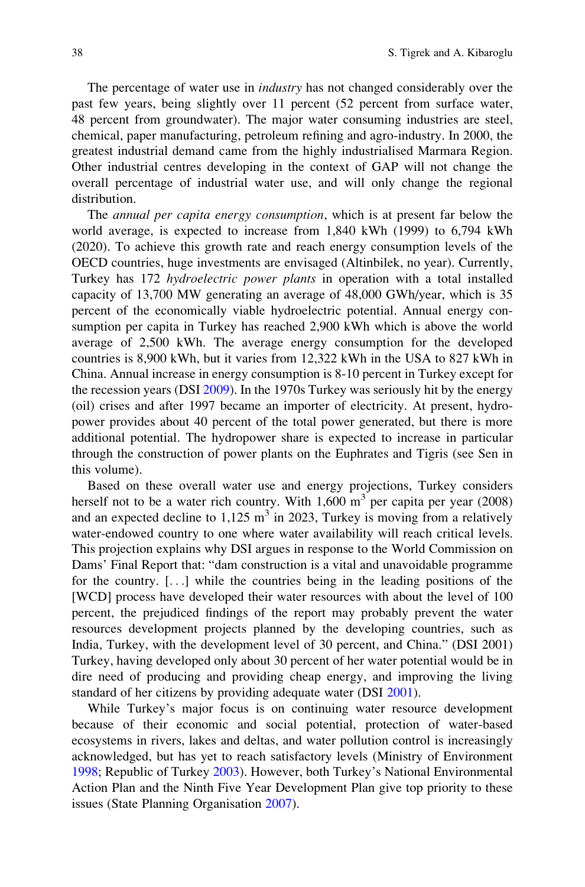The percentage of water use in industry has not changed considerably over the past few years, being slightly over 11 percent (52 percent from surface water, 48 percent from groundwater). The major water consuming industries are steel, chemical, paper manufacturing, petroleum refining and agro-industry. In 2000, the greatest industrial demand came from the highly industrialised Marmara Region. Other industrial centres developing in the context of GAP will not change the overall percentage of industrial water use, and will only change the regional distribution.

The annual per capita energy consumption, which is at present far below the world average, is expected to increase from 1,840 kWh (1999) to 6,794 kWh (2020). To achieve this growth rate and reach energy consumption levels of the OECD countries, huge investments are envisaged (Altinbilek, no year). Currently, Turkey has 172 hydroelectric power plants in operation with a total installed capacity of 13,700 MW generating an average of 48,000 GWh/year, which is 35 percent of the economically viable hydroelectric potential. Annual energy consumption per capita in Turkey has reached 2,900 kWh which is above the world average of 2,500 kWh. The average energy consumption for the developed countries is 8,900 kWh, but it varies from 12,322 kWh in the USA to 827 kWh in China. Annual increase in energy consumption is 8-10 percent in Turkey except for the recession years (DSI [2009\)](#page-14-0). In the 1970s Turkey was seriously hit by the energy (oil) crises and after 1997 became an importer of electricity. At present, hydropower provides about 40 percent of the total power generated, but there is more additional potential. The hydropower share is expected to increase in particular through the construction of power plants on the Euphrates and Tigris (see Sen in this volume).

Based on these overall water use and energy projections, Turkey considers herself not to be a water rich country. With  $1,600 \text{ m}^3$  per capita per year (2008) and an expected decline to  $1,125 \text{ m}^3$  in 2023, Turkey is moving from a relatively water-endowed country to one where water availability will reach critical levels. This projection explains why DSI argues in response to the World Commission on Dams' Final Report that: "dam construction is a vital and unavoidable programme for the country. [...] while the countries being in the leading positions of the [WCD] process have developed their water resources with about the level of 100 percent, the prejudiced findings of the report may probably prevent the water resources development projects planned by the developing countries, such as India, Turkey, with the development level of 30 percent, and China." (DSI 2001) Turkey, having developed only about 30 percent of her water potential would be in dire need of producing and providing cheap energy, and improving the living standard of her citizens by providing adequate water (DSI [2001\)](#page-14-0).

While Turkey's major focus is on continuing water resource development because of their economic and social potential, protection of water-based ecosystems in rivers, lakes and deltas, and water pollution control is increasingly acknowledged, but has yet to reach satisfactory levels (Ministry of Environment [1998;](#page-15-0) Republic of Turkey [2003](#page-15-0)). However, both Turkey's National Environmental Action Plan and the Ninth Five Year Development Plan give top priority to these issues (State Planning Organisation [2007](#page-15-0)).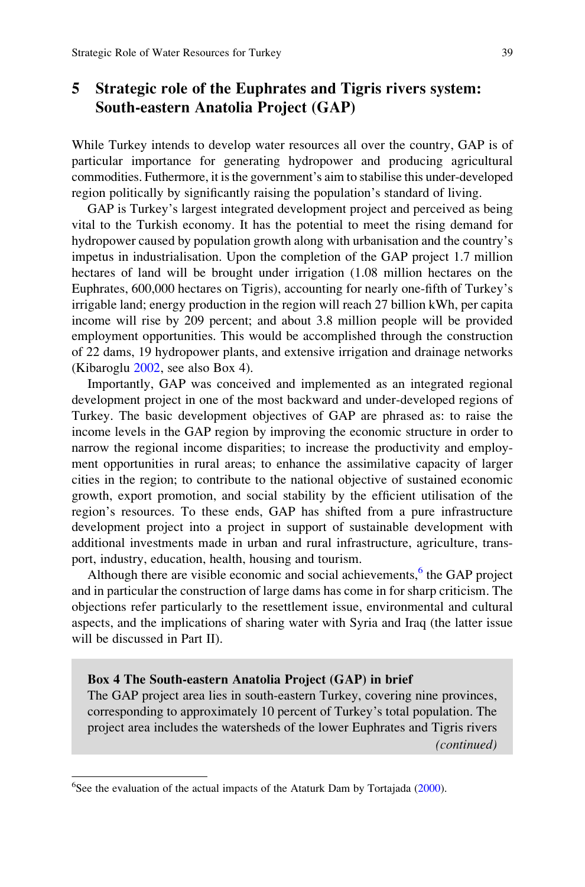# 5 Strategic role of the Euphrates and Tigris rivers system: South-eastern Anatolia Project (GAP)

While Turkey intends to develop water resources all over the country, GAP is of particular importance for generating hydropower and producing agricultural commodities. Futhermore, it is the government's aim to stabilise this under-developed region politically by significantly raising the population's standard of living.

GAP is Turkey's largest integrated development project and perceived as being vital to the Turkish economy. It has the potential to meet the rising demand for hydropower caused by population growth along with urbanisation and the country's impetus in industrialisation. Upon the completion of the GAP project 1.7 million hectares of land will be brought under irrigation (1.08 million hectares on the Euphrates, 600,000 hectares on Tigris), accounting for nearly one-fifth of Turkey's irrigable land; energy production in the region will reach 27 billion kWh, per capita income will rise by 209 percent; and about 3.8 million people will be provided employment opportunities. This would be accomplished through the construction of 22 dams, 19 hydropower plants, and extensive irrigation and drainage networks (Kibaroglu [2002](#page-14-0), see also Box 4).

Importantly, GAP was conceived and implemented as an integrated regional development project in one of the most backward and under-developed regions of Turkey. The basic development objectives of GAP are phrased as: to raise the income levels in the GAP region by improving the economic structure in order to narrow the regional income disparities; to increase the productivity and employment opportunities in rural areas; to enhance the assimilative capacity of larger cities in the region; to contribute to the national objective of sustained economic growth, export promotion, and social stability by the efficient utilisation of the region's resources. To these ends, GAP has shifted from a pure infrastructure development project into a project in support of sustainable development with additional investments made in urban and rural infrastructure, agriculture, transport, industry, education, health, housing and tourism.

Although there are visible economic and social achievements,<sup>6</sup> the GAP project and in particular the construction of large dams has come in for sharp criticism. The objections refer particularly to the resettlement issue, environmental and cultural aspects, and the implications of sharing water with Syria and Iraq (the latter issue will be discussed in Part II).

#### Box 4 The South-eastern Anatolia Project (GAP) in brief

The GAP project area lies in south-eastern Turkey, covering nine provinces, corresponding to approximately 10 percent of Turkey's total population. The project area includes the watersheds of the lower Euphrates and Tigris rivers (continued)

<sup>&</sup>lt;sup>6</sup>See the evaluation of the actual impacts of the Ataturk Dam by Tortajada [\(2000](#page-15-0)).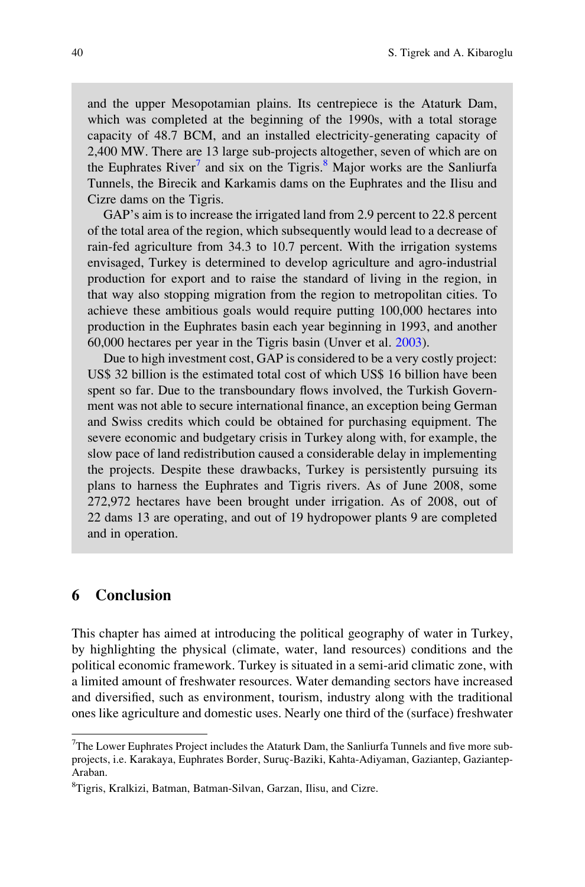and the upper Mesopotamian plains. Its centrepiece is the Ataturk Dam, which was completed at the beginning of the 1990s, with a total storage capacity of 48.7 BCM, and an installed electricity-generating capacity of 2,400 MW. There are 13 large sub-projects altogether, seven of which are on the Euphrates River<sup>7</sup> and six on the Tigris.<sup>8</sup> Major works are the Sanliurfa Tunnels, the Birecik and Karkamis dams on the Euphrates and the Ilisu and Cizre dams on the Tigris.

GAP's aim is to increase the irrigated land from 2.9 percent to 22.8 percent of the total area of the region, which subsequently would lead to a decrease of rain-fed agriculture from 34.3 to 10.7 percent. With the irrigation systems envisaged, Turkey is determined to develop agriculture and agro-industrial production for export and to raise the standard of living in the region, in that way also stopping migration from the region to metropolitan cities. To achieve these ambitious goals would require putting 100,000 hectares into production in the Euphrates basin each year beginning in 1993, and another 60,000 hectares per year in the Tigris basin (Unver et al. [2003](#page-15-0)).

Due to high investment cost, GAP is considered to be a very costly project: US\$ 32 billion is the estimated total cost of which US\$ 16 billion have been spent so far. Due to the transboundary flows involved, the Turkish Government was not able to secure international finance, an exception being German and Swiss credits which could be obtained for purchasing equipment. The severe economic and budgetary crisis in Turkey along with, for example, the slow pace of land redistribution caused a considerable delay in implementing the projects. Despite these drawbacks, Turkey is persistently pursuing its plans to harness the Euphrates and Tigris rivers. As of June 2008, some 272,972 hectares have been brought under irrigation. As of 2008, out of 22 dams 13 are operating, and out of 19 hydropower plants 9 are completed and in operation.

### 6 Conclusion

This chapter has aimed at introducing the political geography of water in Turkey, by highlighting the physical (climate, water, land resources) conditions and the political economic framework. Turkey is situated in a semi-arid climatic zone, with a limited amount of freshwater resources. Water demanding sectors have increased and diversified, such as environment, tourism, industry along with the traditional ones like agriculture and domestic uses. Nearly one third of the (surface) freshwater

<sup>&</sup>lt;sup>7</sup>The Lower Euphrates Project includes the Ataturk Dam, the Sanliurfa Tunnels and five more subprojects, i.e. Karakaya, Euphrates Border, Suruç-Baziki, Kahta-Adiyaman, Gaziantep, Gaziantep-Araban.

<sup>8</sup> Tigris, Kralkizi, Batman, Batman-Silvan, Garzan, Ilisu, and Cizre.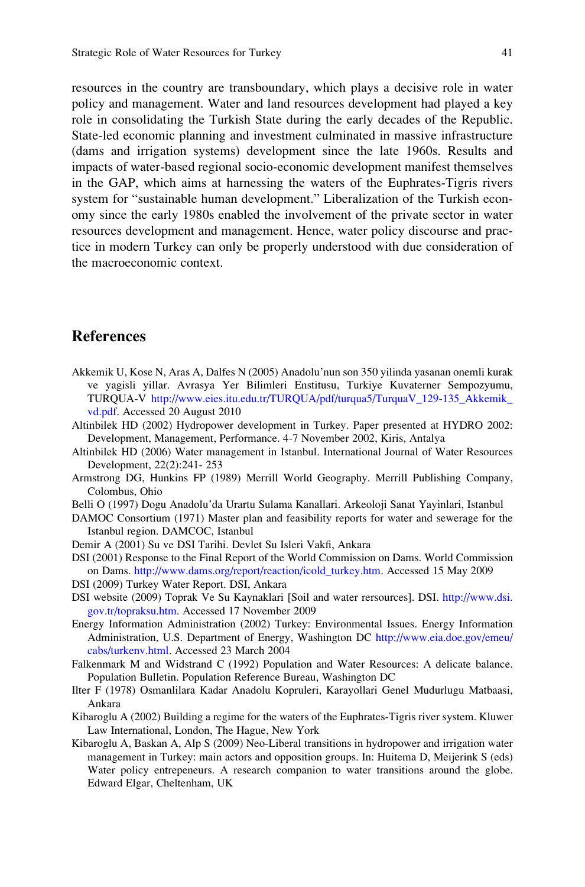<span id="page-14-0"></span>resources in the country are transboundary, which plays a decisive role in water policy and management. Water and land resources development had played a key role in consolidating the Turkish State during the early decades of the Republic. State-led economic planning and investment culminated in massive infrastructure (dams and irrigation systems) development since the late 1960s. Results and impacts of water-based regional socio-economic development manifest themselves in the GAP, which aims at harnessing the waters of the Euphrates-Tigris rivers system for "sustainable human development." Liberalization of the Turkish economy since the early 1980s enabled the involvement of the private sector in water resources development and management. Hence, water policy discourse and practice in modern Turkey can only be properly understood with due consideration of the macroeconomic context.

## References

- Akkemik U, Kose N, Aras A, Dalfes N (2005) Anadolu'nun son 350 yilinda yasanan onemli kurak ve yagisli yillar. Avrasya Yer Bilimleri Enstitusu, Turkiye Kuvaterner Sempozyumu, TURQUA-V [http://www.eies.itu.edu.tr/TURQUA/pdf/turqua5/TurquaV\\_129-135\\_Akkemik\\_](http://www.eies.itu.edu.tr/TURQUA/pdf/turqua5/TurquaV_129-135_Akkemik_vd.pdf) [vd.pdf.](http://www.eies.itu.edu.tr/TURQUA/pdf/turqua5/TurquaV_129-135_Akkemik_vd.pdf) Accessed 20 August 2010
- Altinbilek HD (2002) Hydropower development in Turkey. Paper presented at HYDRO 2002: Development, Management, Performance. 4-7 November 2002, Kiris, Antalya
- Altinbilek HD (2006) Water management in Istanbul. International Journal of Water Resources Development, 22(2):241- 253
- Armstrong DG, Hunkins FP (1989) Merrill World Geography. Merrill Publishing Company, Colombus, Ohio
- Belli O (1997) Dogu Anadolu'da Urartu Sulama Kanallari. Arkeoloji Sanat Yayinlari, Istanbul
- DAMOC Consortium (1971) Master plan and feasibility reports for water and sewerage for the Istanbul region. DAMCOC, Istanbul
- Demir A (2001) Su ve DSI Tarihi. Devlet Su Isleri Vakfi, Ankara
- DSI (2001) Response to the Final Report of the World Commission on Dams. World Commission on Dams. [http://www.dams.org/report/reaction/icold\\_turkey.htm](http://www.dams.org/report/reaction/icold_turkey.htm). Accessed 15 May 2009
- DSI (2009) Turkey Water Report. DSI, Ankara
- DSI website (2009) Toprak Ve Su Kaynaklari [Soil and water rersources]. DSI. [http://www.dsi.](http://www.dsi.gov.tr/topraksu.htm) [gov.tr/topraksu.htm.](http://www.dsi.gov.tr/topraksu.htm) Accessed 17 November 2009
- Energy Information Administration (2002) Turkey: Environmental Issues. Energy Information Administration, U.S. Department of Energy, Washington DC [http://www.eia.doe.gov/emeu/](http://www.eia.doe.gov/emeu/cabs/turkenv.html) [cabs/turkenv.html.](http://www.eia.doe.gov/emeu/cabs/turkenv.html) Accessed 23 March 2004
- Falkenmark M and Widstrand C (1992) Population and Water Resources: A delicate balance. Population Bulletin. Population Reference Bureau, Washington DC
- Ilter F (1978) Osmanlilara Kadar Anadolu Kopruleri, Karayollari Genel Mudurlugu Matbaasi, Ankara
- Kibaroglu A (2002) Building a regime for the waters of the Euphrates-Tigris river system. Kluwer Law International, London, The Hague, New York
- Kibaroglu A, Baskan A, Alp S (2009) Neo-Liberal transitions in hydropower and irrigation water management in Turkey: main actors and opposition groups. In: Huitema D, Meijerink S (eds) Water policy entrepeneurs. A research companion to water transitions around the globe. Edward Elgar, Cheltenham, UK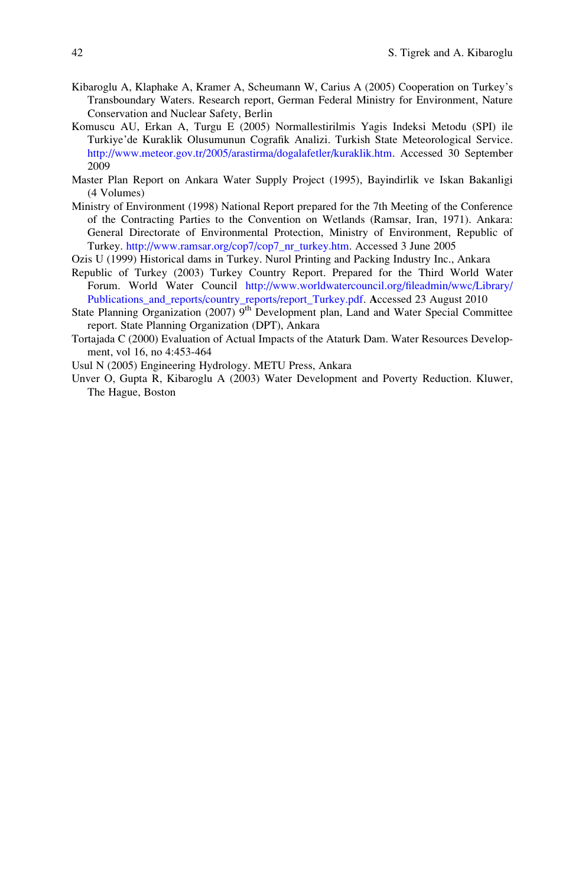- <span id="page-15-0"></span>Kibaroglu A, Klaphake A, Kramer A, Scheumann W, Carius A (2005) Cooperation on Turkey's Transboundary Waters. Research report, German Federal Ministry for Environment, Nature Conservation and Nuclear Safety, Berlin
- Komuscu AU, Erkan A, Turgu E (2005) Normallestirilmis Yagis Indeksi Metodu (SPI) ile Turkiye'de Kuraklik Olusumunun Cografik Analizi. Turkish State Meteorological Service. [http://www.meteor.gov.tr/2005/arastirma/dogalafetler/kuraklik.htm.](http://www.meteor.gov.tr/2005/arastirma/dogalafetler/kuraklik.htm) Accessed 30 September 2009
- Master Plan Report on Ankara Water Supply Project (1995), Bayindirlik ve Iskan Bakanligi (4 Volumes)
- Ministry of Environment (1998) National Report prepared for the 7th Meeting of the Conference of the Contracting Parties to the Convention on Wetlands (Ramsar, Iran, 1971). Ankara: General Directorate of Environmental Protection, Ministry of Environment, Republic of Turkey. [http://www.ramsar.org/cop7/cop7\\_nr\\_turkey.htm](http://www.ramsar.org/cop7/cop7_nr_turkey.htm). Accessed 3 June 2005
- Ozis U (1999) Historical dams in Turkey. Nurol Printing and Packing Industry Inc., Ankara
- Republic of Turkey (2003) Turkey Country Report. Prepared for the Third World Water Forum. World Water Council [http://www.worldwatercouncil.org/fileadmin/wwc/Library/](http://www.worldwatercouncil.org/fileadmin/wwc/Library/Publications_and_reports/country_reports/report_Turkey.pdf) [Publications\\_and\\_reports/country\\_reports/report\\_Turkey.pdf](http://www.worldwatercouncil.org/fileadmin/wwc/Library/Publications_and_reports/country_reports/report_Turkey.pdf). Accessed 23 August 2010
- State Planning Organization (2007)  $9<sup>th</sup>$  Development plan, Land and Water Special Committee report. State Planning Organization (DPT), Ankara
- Tortajada C (2000) Evaluation of Actual Impacts of the Ataturk Dam. Water Resources Development, vol 16, no 4:453-464
- Usul N (2005) Engineering Hydrology. METU Press, Ankara
- Unver O, Gupta R, Kibaroglu A (2003) Water Development and Poverty Reduction. Kluwer, The Hague, Boston